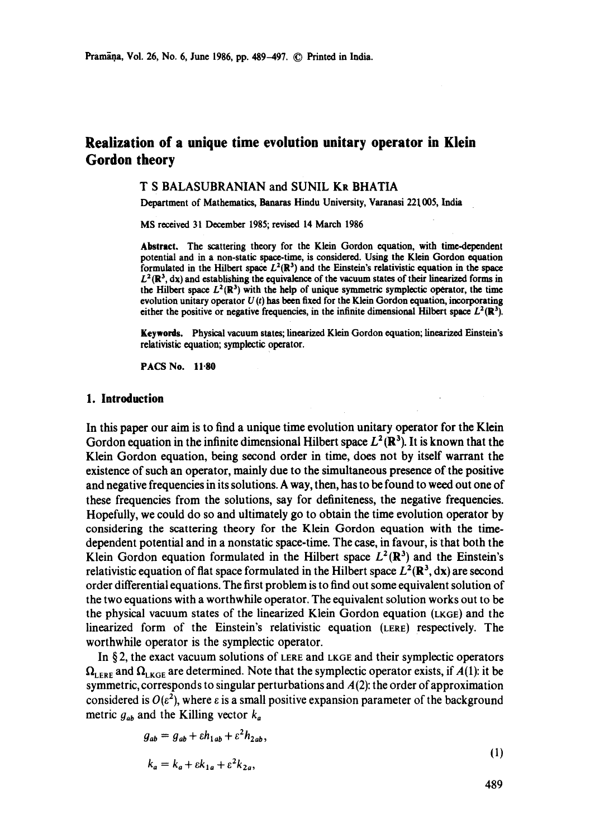# **Realization of a unique time evolution unitary operator in Klein Gordon theory**

#### T S BALASUBRANIAN and SUNIL KR BHATIA

Department of Mathematics, Banaras Hindu University, Varanasi 221 005, India

MS received 31 December 1985; revised 14 March 1986

**Abstract.** The scattering theory for the Klein Gordon equation, with time-dependent potential and in a non-static space-time, is considered. Using the Klein Gordon equation formulated in the Hilbert space  $L^2(\mathbb{R}^3)$  and the Einstein's relativistic equation in the space  $L^2(\mathbb{R}^3, dx)$  and establishing the equivalence of the vacuum states of their linearized forms in the Hilbert space  $L^2(\mathbb{R}^3)$  with the help of unique symmetric symplectic operator, the time evolution unitary operator  $U(t)$  has been fixed for the Klein Gordon equation, incorporating either the positive or negative frequencies, in the infinite dimensional Hilbert space  $L^2(\mathbb{R}^3)$ .

Keywords. Physical vacuum states; finearized Klein Gordon equation; linearized Einstein's relativistic equation; symplectic **operator.** 

PACS No. 11.80

#### **1. Introduction**

In this paper our aim is to find a unique time evolution unitary operator for the Klein Gordon equation in the infinite dimensional Hilbert space  $L^2(\mathbb{R}^3)$ . It is known that the Klein Gordon equation, being second order in time, does not by itself warrant the existence of such an operator, mainly due to the simultaneous presence of the positive and negative frequencies in its solutions. A way, then, has to be found to weed out one of these frequencies from the solutions, say for definiteness, the negative frequencies. Hopefully, we could do so and ultimately go to obtain the time evolution operator by considering the scattering theory for the Klein Gordon equation with the timedependent potential and in a nonstatic space-time. The case, in favour, is that both the Klein Gordon equation formulated in the Hilbert space  $L^2(\mathbb{R}^3)$  and the Einstein's relativistic equation of flat space formulated in the Hilbert space  $L^2(\mathbb{R}^3, dx)$  are second order differential equations. The first problem is to find out some equivalent solution of the two equations with a worthwhile operator. The equivalent solution works out to be the physical vacuum states of the linearized Klein Gordon equation (LKGE) and the linearized form of the Einstein's relativistic equation (LERE) respectively. The worthwhile operator is the symplectic operator.

In  $\S$ 2, the exact vacuum solutions of LERE and LKGE and their symplectic operators  $\Omega_{\text{LERF}}$  and  $\Omega_{\text{LKGE}}$  are determined. Note that the symplectic operator exists, if  $A(1)$ : it be symmetric, corresponds to singular perturbations and  $A(2)$ : the order of approximation considered is  $O(\varepsilon^2)$ , where  $\varepsilon$  is a small positive expansion parameter of the background metric  $g_{ab}$  and the Killing vector  $k_a$ 

$$
g_{ab} = g_{ab} + \varepsilon h_{1ab} + \varepsilon^2 h_{2ab},
$$
  
\n
$$
k_a = k_a + \varepsilon k_{1a} + \varepsilon^2 k_{2a},
$$
\n(1)

489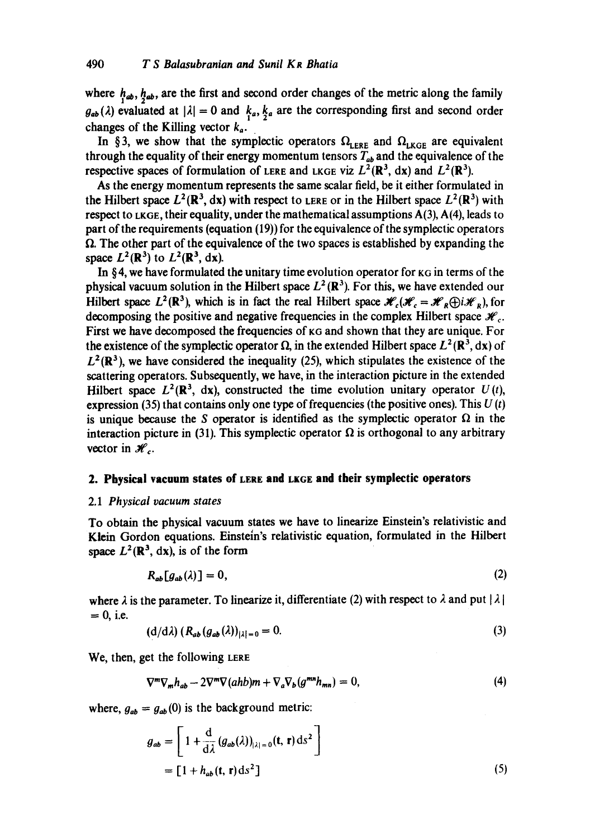where  $h_{ab}$ ,  $h_{ab}$ , are the first and second order changes of the metric along the family  $g_{ab}(\lambda)$  evaluated at  $|\lambda| = 0$  and  $k_a, k_a$  are the corresponding first and second order changes of the Killing vector  $k_a$ .

In §3, we show that the symplectic operators  $\Omega_{\text{ERE}}$  and  $\Omega_{\text{LRGE}}$  are equivalent through the equality of their energy momentum tensors  $T_{ab}$  and the equivalence of the respective spaces of formulation of LERE and LKGE viz  $L^2(\mathbb{R}^3)$ , dx) and  $L^2(\mathbb{R}^3)$ .

As the energy momentum represents the same scalar field, be it either formulated in the Hilbert space  $L^2(\mathbb{R}^3, dx)$  with respect to LERE or in the Hilbert space  $L^2(\mathbb{R}^3)$  with respect to  $LKGE$ , their equality, under the mathematical assumptions  $A(3)$ ,  $A(4)$ , leads to part of the requirements (equation (19)) for the equivalence of the symplectic operators  $\Omega$ . The other part of the equivalence of the two spaces is established by expanding the space  $L^2(\mathbb{R}^3)$  to  $L^2(\mathbb{R}^3, dx)$ .

In §4, we have formulated the unitary time evolution operator for  $\kappa$ G in terms of the physical vacuum solution in the Hilbert space  $L^2(\mathbb{R}^3)$ . For this, we have extended our Hilbert space  $L^2(\mathbb{R}^3)$ , which is in fact the real Hilbert space  $\mathcal{H}_c(\mathcal{H}_c=\mathcal{H}_R(\cdot)\mathcal{H}_R)$ , for decomposing the positive and negative frequencies in the complex Hilbert space  $\mathcal{H}_c$ . First we have decomposed the frequencies of KG and shown that they are unique. For the existence of the symplectic operator  $\Omega$ , in the extended Hilbert space  $L^2 (\mathbb{R}^3, dx)$  of  $L^2(\mathbb{R}^3)$ , we have considered the inequality (25), which stipulates the existence of the scattering operators. Subsequently, we have, in the interaction picture in the extended Hilbert space  $L^2(\mathbb{R}^3, dx)$ , constructed the time evolution unitary operator  $U(t)$ , expression (35) that contains only one type of frequencies (the positive ones). This  $U(t)$ is unique because the S operator is identified as the symplectic operator  $\Omega$  in the interaction picture in (31). This symplectic operator  $\Omega$  is orthogonal to any arbitrary vector in  $\mathcal{H}_c$ .

#### **2. Physical vacuum states of LERE and LKGE and their symplectic operators**

#### 2.1 *Physical vacuum states*

To obtain the physical vacuum states we have to linearize Einstein's relativistic and Klein Gordon equations. Einstein's relativistic equation, formulated in the Hilbert space  $L^2(\mathbb{R}^3, dx)$ , is of the form

$$
R_{ab}[g_{ab}(\lambda)] = 0,\tag{2}
$$

where  $\lambda$  is the parameter. To linearize it, differentiate (2) with respect to  $\lambda$  and put  $|\lambda|$  $= 0$ , i.e.

$$
\left(\frac{d}{d\lambda}\right)\left(R_{ab}\left(g_{ab}\left(\lambda\right)\right)_{|\lambda|=0}=0.\tag{3}
$$

We, then, get the following LERE

$$
\nabla^m \nabla_m h_{ab} - 2\nabla^m \nabla (ahb) m + \nabla_a \nabla_b (g^{mn} h_{mn}) = 0,
$$
\n(4)

where,  $g_{ab} = g_{ab}(0)$  is the background metric:

$$
g_{ab} = \left[1 + \frac{d}{d\lambda} (g_{ab}(\lambda))_{|\lambda|=0} (t, r) ds^2\right]
$$
  
=  $\left[1 + h_{ab} (t, r) ds^2\right]$  (5)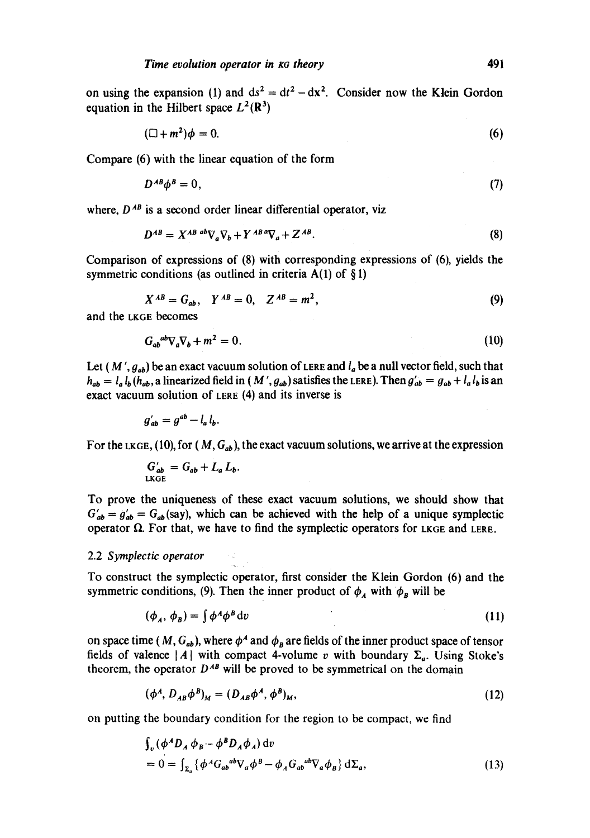on using the expansion (1) and  $ds^2 = dt^2 - dx^2$ . Consider now the Klein Gordon equation in the Hilbert space  $L^2(\mathbb{R}^3)$ 

$$
(\Box + m^2)\phi = 0. \tag{6}
$$

Compare (6) with the linear equation of the form

$$
D^{AB}\phi^B=0,\t\t(7)
$$

where,  $D^{AB}$  is a second order linear differential operator, viz

$$
D^{AB} = X^{AB \ ab} \nabla_a \nabla_b + Y^{AB} {^\alpha} \nabla_a + Z^{AB}.
$$
 (8)

Comparison of expressions of (8) with corresponding expressions of (6), yields the symmetric conditions (as outlined in criteria  $A(1)$  of §1)

$$
X^{AB} = G_{ab}, \quad Y^{AB} = 0, \quad Z^{AB} = m^2,
$$
 (9)

and the LKGE becomes

$$
G_{ab}{}^{ab}\nabla_a\nabla_b + m^2 = 0. \tag{10}
$$

Let (M',  $g_{ab}$ ) be an exact vacuum solution of LERE and  $l_a$  be a null vector field, such that  $h_{ab} = l_a l_b (h_{ab}, a$  linearized field in  $(M', g_{ab})$  satisfies the LERE). Then  $g'_{ab} = g_{ab} + l_a l_b$  is an exact vacuum solution of LERE (4) and its inverse is

$$
g'_{ab}=g^{ab}-l_a\,l_b.
$$

For the LKGE, (10), for  $(M, G_{ab})$ , the exact vacuum solutions, we arrive at the expression

$$
G'_{ab} = G_{ab} + L_a L_b.
$$
LRGE

To prove the uniqueness of these exact vacuum solutions, we should show that  $G'_{ab} = g'_{ab} = G_{ab}$  (say), which can be achieved with the help of a unique symplectic operator  $\Omega$ . For that, we have to find the symplectic operators for LKGE and LERE.

#### 2.2 *Symplectic operator*

To construct the symplectic operator, first consider the Klein Gordon (6) and the symmetric conditions, (9). Then the inner product of  $\phi_A$  with  $\phi_B$  will be

$$
(\phi_A, \phi_B) = \int \phi^A \phi^B dv \tag{11}
$$

on space time *(M, G<sub>ab</sub>)*, where  $\phi^A$  and  $\phi_R$  are fields of the inner product space of tensor fields of valence | A | with compact 4-volume v with boundary  $\Sigma_a$ . Using Stoke's theorem, the operator  $D^{AB}$  will be proved to be symmetrical on the domain

$$
(\phi^A, D_{AB}\phi^B)_M = (D_{AB}\phi^A, \phi^B)_M, \qquad (12)
$$

on putting the boundary condition for the region to be compact, we find

$$
\int_{v} (\phi^A D_A \phi_B - \phi^B D_A \phi_A) dv
$$
  
= 0 =  $\int_{\Sigma_a} {\phi^A G_{ab}{}^{ab} \nabla_a \phi^B - \phi_A G_{ab}{}^{ab} \nabla_a \phi_B} d\Sigma_a,$  (13)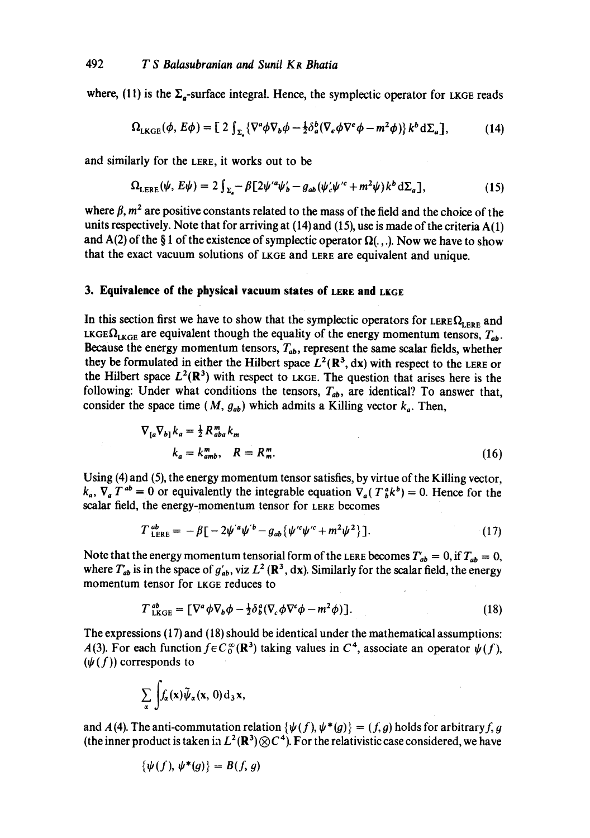where, (11) is the  $\Sigma_a$ -surface integral. Hence, the symplectic operator for LKGE reads

$$
\Omega_{LKGE}(\phi, E\phi) = \left[ 2 \int_{\Sigma} \left\{ \nabla^a \phi \nabla_b \phi - \frac{1}{2} \delta_a^b (\nabla_e \phi \nabla^e \phi - m^2 \phi) \right\} k^b d\Sigma_a \right],\tag{14}
$$

and similarly for the LERE, it works out to be

$$
\Omega_{\text{LERE}}(\psi, E\psi) = 2 \int_{\Sigma_{a}} -\beta \left[ 2\psi'^{a}\psi'_{b} - g_{ab}(\psi'_{c}\psi'^{c} + m^{2}\psi)k^{b} \,d\Sigma_{a} \right],\tag{15}
$$

where  $\beta$ ,  $m^2$  are positive constants related to the mass of the field and the choice of the units respectively. Note that for arriving at  $(14)$  and  $(15)$ , use is made of the criteria  $A(1)$ and A(2) of the §1 of the existence of symplectic operator  $\Omega(.)$ . Now we have to show that the exact vacuum solutions of LKGE and LERE are equivalent and unique.

## **3. Equivalence of the physical vacuum states of LEnE and LKGE**

In this section first we have to show that the symplectic operators for LERE  $\Omega_{\text{LERE}}$  and LKGE $\Omega_{LKGE}$  are equivalent though the equality of the energy momentum tensors,  $T_{ab}$ . Because the energy momentum tensors,  $T_{ab}$ , represent the same scalar fields, whether they be formulated in either the Hilbert space  $L^2(\mathbb{R}^3, dx)$  with respect to the LERE or the Hilbert space  $L^2(\mathbb{R}^3)$  with respect to LKGE. The question that arises here is the following: Under what conditions the tensors,  $T_{ab}$ , are identical? To answer that, consider the space time  $(M, g_{ab})$  which admits a Killing vector  $k_a$ . Then,

$$
\nabla_{[a}\nabla_{b]}k_a = \frac{1}{2}R_{aba}^m k_m
$$
  
\n
$$
k_a = k_{amb}^m, \quad R = R_m^m.
$$
 (16)

Using (4) and (5), the energy momentum tensor satisfies, by virtue of the Killing vector,  $k_a$ ,  $\nabla_a T^{ab} = 0$  or equivalently the integrable equation  $\nabla_a (T^a_{b} k^b) = 0$ . Hence for the scalar field, the energy-momentum tensor for LERE becomes

$$
T_{\text{LERE}}^{ab} = -\beta \left[ -2\psi'^a \psi'^b - g_{ab} \left\{ \psi'^c \psi'^c + m^2 \psi^2 \right\} \right]. \tag{17}
$$

Note that the energy momentum tensorial form of the LERE becomes  $T_{ab} = 0$ , if  $T_{ab} = 0$ , where  $T_{ab}$  is in the space of  $g'_{ab}$ , viz  $L^2$  ( $\mathbb{R}^3$ , dx). Similarly for the scalar field, the energy momentum tensor for LKGE reduces to

$$
T_{\text{LKGE}}^{ab} = \left[ \nabla^a \phi \nabla_b \phi - \frac{1}{2} \delta^a_b (\nabla_c \phi \nabla^c \phi - m^2 \phi) \right]. \tag{18}
$$

The expressions (17) and (18) should be identical under the mathematical assumptions: *A*(3). For each function  $f \in C_0^{\infty}(\mathbb{R}^3)$  taking values in  $C^4$ , associate an operator  $\psi(f)$ ,  $(\psi(f))$  corresponds to

$$
\sum_{\alpha} \int f_{\alpha}(\mathbf{x}) \widetilde{\psi}_{\alpha}(\mathbf{x}, 0) d_3 \mathbf{x},
$$

and  $A(4)$ . The anti-commutation relation  $\{\psi(f), \psi^*(g)\} = (f, g)$  holds for arbitrary f, g (the inner product is taken in  $L^2(\mathbb{R}^3) \otimes C^4$ ). For the relativistic case considered, we have

$$
\{\psi(f),\psi^*(g)\}=B(f,g)
$$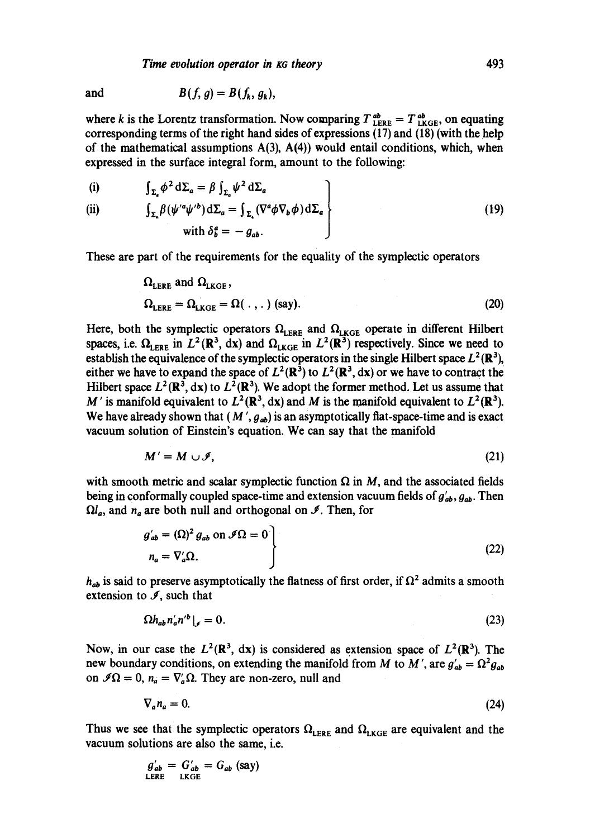*Time evolution operator in xa theory* 493

and 
$$
B(f, g) = B(f_k, g_k),
$$

where k is the Lorentz transformation. Now comparing  $T_{\text{LERE}}^{ab} = T_{\text{LKGE}}^{ab}$ , on equating corresponding terms of the right hand sides of expressions (17) and (18) (with the help of the mathematical assumptions  $A(3)$ ,  $A(4)$ ) would entail conditions, which, when expressed in the surface integral form, amount to the following:

(i) 
$$
\int_{\Sigma_a} \phi^2 d\Sigma_a = \beta \int_{\Sigma_a} \psi^2 d\varsigma
$$

$$
(ii)
$$

(i) 
$$
\int_{\Sigma_a} \phi^2 d\Sigma_a = \beta \int_{\Sigma_a} \psi^2 d\Sigma_a
$$
  
\n(ii) 
$$
\int_{\Sigma_a} \beta (\psi'^a \psi'^b) d\Sigma_a = \int_{\Sigma_a} (\nabla^a \phi \nabla_b \phi) d\Sigma_a
$$
  
\nwith  $\delta_b^a = -g_{ab}$ . (19)

These are part of the requirements for the equality of the symplectic operators

$$
\Omega_{\text{LERE}} \text{ and } \Omega_{\text{LKGE}},
$$
\n
$$
\Omega_{\text{LERE}} = \Omega_{\text{LKGE}} = \Omega(., .) \text{ (say)}.
$$
\n(20)

Here, both the symplectic operators  $\Omega_{\text{LERE}}$  and  $\Omega_{\text{LKGE}}$  operate in different Hilbert spaces, i.e.  $\Omega_{\text{LERE}}$  in  $L^2(\mathbb{R}^3)$ , dx) and  $\Omega_{\text{LKGE}}$  in  $L^2(\mathbb{R}^3)$  respectively. Since we need to establish the equivalence of the symplectic operators in the single Hilbert space  $L^2(\mathbb{R}^3)$ , either we have to expand the space of  $L^2(\mathbb{R}^3)$  to  $L^2(\mathbb{R}^3, dx)$  or we have to contract the Hilbert space  $L^2(\mathbb{R}^3, dx)$  to  $L^2(\mathbb{R}^3)$ . We adopt the former method. Let us assume that M' is manifold equivalent to  $L^2(\mathbb{R}^3, dx)$  and M is the manifold equivalent to  $L^2(\mathbb{R}^3)$ . We have already shown that  $(M', g_{ab})$  is an asymptotically flat-space-time and is exact vacuum solution of Einstein's equation. We can say that the manifold

$$
M'=M\cup\mathscr{I},\qquad \qquad (21)
$$

with smooth metric and scalar symplectic function  $\Omega$  in M, and the associated fields being in conformally coupled space-time and extension vacuum fields of  $g'_{ab}$ ,  $g_{ab}$ . Then  $\Omega l_a$ , and  $n_a$  are both null and orthogonal on  $\mathcal{I}$ . Then, for

$$
g'_{ab} = (\Omega)^2 g_{ab} \text{ on } \mathcal{I}\Omega = 0
$$
  
\n
$$
n_a = \nabla'_a \Omega.
$$
 (22)

 $h_{ab}$  is said to preserve asymptotically the flatness of first order, if  $\Omega^2$  admits a smooth extension to  $\mathcal{I}$ , such that

$$
\Omega h_{ab} n'_a n'^b \big|_{\mathcal{J}} = 0. \tag{23}
$$

Now, in our case the  $L^2(\mathbb{R}^3, dx)$  is considered as extension space of  $L^2(\mathbb{R}^3)$ . The new boundary conditions, on extending the manifold from M to M', are  $g'_{ab} = \Omega^2 g_{ab}$ on  $\mathcal{I}\Omega = 0$ ,  $n_a = \nabla'_a \Omega$ . They are non-zero, null and

$$
\nabla_a n_a = 0. \tag{24}
$$

Thus we see that the symplectic operators  $\Omega_{\text{LERE}}$  and  $\Omega_{\text{LKGE}}$  are equivalent and the vacuum solutions are also the same, i.e.

$$
g'_{ab} = G'_{ab} = G_{ab}
$$
 (say)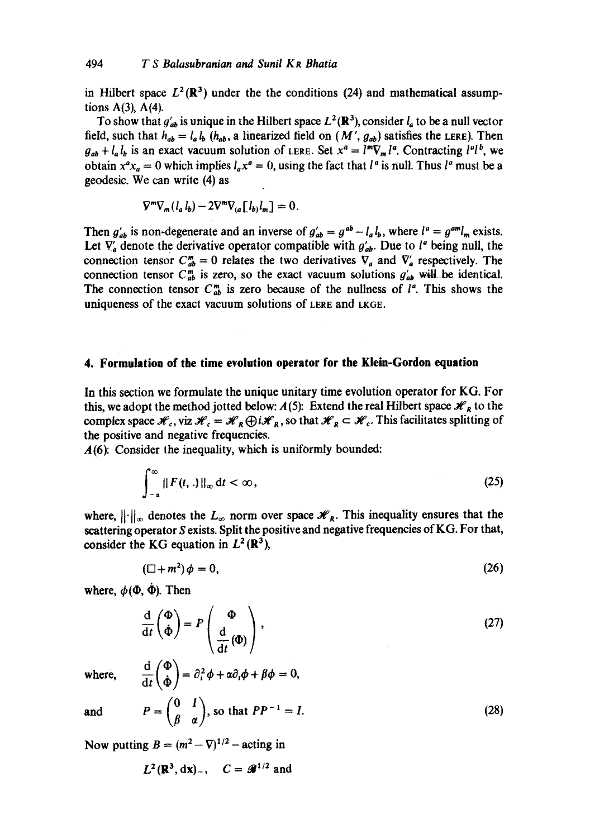in Hilbert space  $L^2(\mathbb{R}^3)$  under the the conditions (24) and mathematical assumptions  $A(3)$ ,  $A(4)$ .

To show that  $g'_{ab}$  is unique in the Hilbert space  $L^2(\mathbb{R}^3)$ , consider  $l_a$  to be a null vector field, such that  $h_{ab} = l_a l_b$  ( $h_{ab}$ , a linearized field on (M',  $g_{ab}$ ) satisfies the LERE). Then  $g_{ab} + l_a l_b$  is an exact vacuum solution of LERE. Set  $x^a = l^m \nabla_m l^a$ . Contracting  $l^a l^b$ , we obtain  $x^a x_a = 0$  which implies  $l_a x^a = 0$ , using the fact that  $l^a$  is null. Thus  $l^a$  must be a geodesic. We can write (4) as

$$
\nabla^m \nabla_m (l_a l_b) - 2 \nabla^m \nabla_{(a} [l_b] l_m] = 0.
$$

Then  $g'_{ab}$  is non-degenerate and an inverse of  $g'_{ab} = g^{ab} - l_a l_b$ , where  $l^a = g^{am}l_m$  exists. Let  $\nabla_a$  denote the derivative operator compatible with  $g'_{ab}$ . Due to  $l^a$  being null, the connection tensor  $C_{ab}^{m} = 0$  relates the two derivatives  $\nabla_a$  and  $\nabla'_a$  respectively. The connection tensor  $C_{ab}^{m}$  is zero, so the exact vacuum solutions  $g'_{ab}$  will be identical. The connection tensor  $C_{ab}^{m}$  is zero because of the nullness of  $l^{a}$ . This shows the uniqueness of the exact vacuum solutions of LERE and LKGE.

#### **4. Formulation of the time evolution operator for the Klein-Gordon equation**

In this section we formulate the unique unitary time evolution operator for KG. For this, we adopt the method jotted below:  $A(5)$ : Extend the real Hilbert space  $\mathcal{H}_R$  to the complex space  $\mathcal{H}_c$ , viz  $\mathcal{H}_c = \mathcal{H}_R \bigoplus i \mathcal{H}_R$ , so that  $\mathcal{H}_R \subset \mathcal{H}_c$ . This facilitates splitting of the positive and negative frequencies.

A(6): Consider the inequality, which is uniformly bounded:

$$
\int_{-\alpha}^{\infty} || F(t, .) ||_{\infty} dt < \infty,
$$
\n(25)

where,  $\|\cdot\|_{\infty}$  denotes the  $L_{\infty}$  norm over space  $\mathscr{H}_R$ . This inequality ensures that the scattering operator S exists. Split the positive and negative frequencies of KG. For that, consider the KG equation in  $L^2(\mathbb{R}^3)$ ,

$$
(\Box + m^2)\phi = 0,\tag{26}
$$

where,  $\phi(\Phi, \dot{\Phi})$ . Then

$$
\frac{\mathrm{d}}{\mathrm{d}t} \left( \frac{\Phi}{\Phi} \right) = P \left( \frac{\Phi}{\mathrm{d}t} \left( \Phi \right) \right),\tag{27}
$$

where,  $\frac{d}{dt} \begin{pmatrix} \Phi \\ \dot{\Phi} \end{pmatrix} = \partial_t^2 \phi + \alpha \partial_t \phi + \beta \phi = 0,$ 

and 
$$
P = \begin{pmatrix} 0 & I \\ \beta & \alpha \end{pmatrix}
$$
, so that  $PP^{-1} = I$ . (28)

Now putting  $B = (m^2 - \nabla)^{1/2}$  – acting in

$$
L^2(\mathbb{R}^3,\mathrm{d}\mathbf{x})_-, \quad C = \mathcal{L}^{1/2} \text{ and}
$$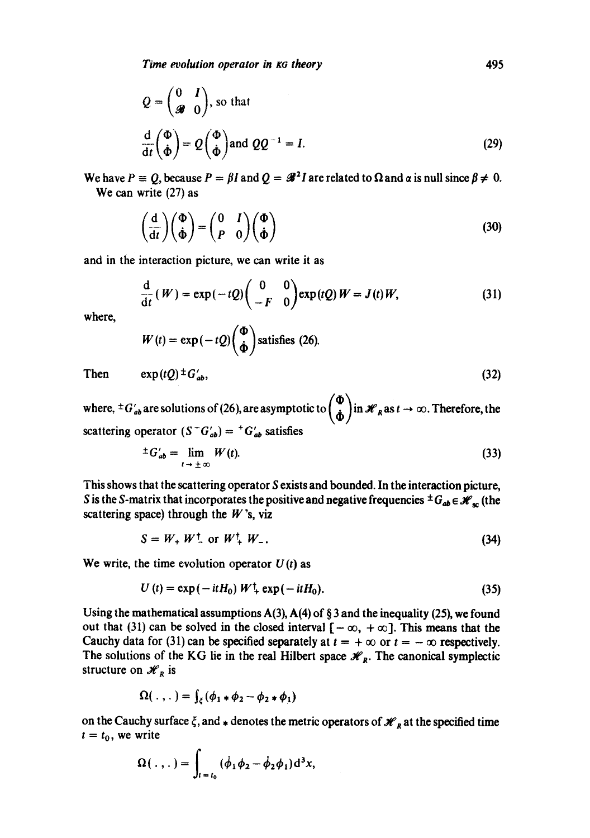*Time evolution operator in KG theory* **1995** 

$$
Q = \begin{pmatrix} 0 & I \\ g & 0 \end{pmatrix}, \text{ so that}
$$

$$
\frac{d}{dt} \begin{pmatrix} \Phi \\ \dot{\Phi} \end{pmatrix} = Q \begin{pmatrix} \Phi \\ \dot{\Phi} \end{pmatrix} \text{ and } QQ^{-1} = I.
$$
(29)

We have  $P = Q$ , because  $P = \beta I$  and  $Q = \mathcal{R}^2 I$  are related to  $\Omega$  and  $\alpha$  is null since  $\beta \neq 0$ . We can write (27) as

$$
\left(\frac{\mathrm{d}}{\mathrm{d}t}\right)\left(\frac{\Phi}{\dot{\Phi}}\right) = \left(\begin{matrix} 0 & I \\ P & 0 \end{matrix}\right)\left(\frac{\Phi}{\dot{\Phi}}\right) \tag{30}
$$

and in the interaction picture, we can write it as

$$
\frac{\mathrm{d}}{\mathrm{d}t}(W) = \exp(-tQ) \begin{pmatrix} 0 & 0 \\ -F & 0 \end{pmatrix} \exp(tQ) W = J(t)W, \tag{31}
$$

where,

$$
W(t) = \exp(-tQ)\binom{\Phi}{\dot{\Phi}}\text{ satisfies (26)}.
$$
  
Then 
$$
\exp(tQ) \pm G'_{ab},
$$
 (32)

where,  ${}^{\pm}G'_{ab}$  are solutions of (26), are asymptotic to  $\binom{\Phi}{\dot{\Phi}}$  in  $\mathcal{H}_R$  as  $t \to \infty$ . Therefore, the

scattering operator  $(S<sup>-</sup>G'_{ab}) = {}^{+}G'_{ab}$  satisfies

$$
\pm G'_{ab} = \lim_{t \to \pm \infty} W(t). \tag{33}
$$

This shows that the scattering operator S exists and bounded. In the interaction picture, S is the S-matrix that incorporates the positive and negative frequencies  $\pm G_{ab} \in \mathcal{H}_{sc}$  (the scattering space) through the  $W$ 's, viz

$$
S = W_+ W_-^{\dagger} \text{ or } W_+^{\dagger} W_-.
$$
 (34)

We write, the time evolution operator  $U(t)$  as

$$
U(t) = \exp(-itH_0) W^{\dagger} + \exp(-itH_0). \tag{35}
$$

Using the mathematical assumptions  $A(3)$ ,  $A(4)$  of § 3 and the inequality (25), we found out that (31) can be solved in the closed interval  $[-\infty, +\infty]$ . This means that the Cauchy data for (31) can be specified separately at  $t = +\infty$  or  $t = -\infty$  respectively. The solutions of the KG lie in the real Hilbert space  $\mathcal{H}_R$ . The canonical symplectic structure on  $\mathcal{H}_R$  is

$$
\Omega(\ldots) = \int_{\xi} (\phi_1 * \phi_2 - \phi_2 * \phi_1)
$$

on the Cauchy surface  $\xi$ , and. denotes the metric operators of  $\mathcal{H}_R$  at the specified time  $t = t_0$ , we write

$$
\Omega(\,.\,,\,.\,)=\int_{t=t_0}^{\infty}(\dot{\phi}_1\phi_2-\dot{\phi}_2\phi_1)d^3x,
$$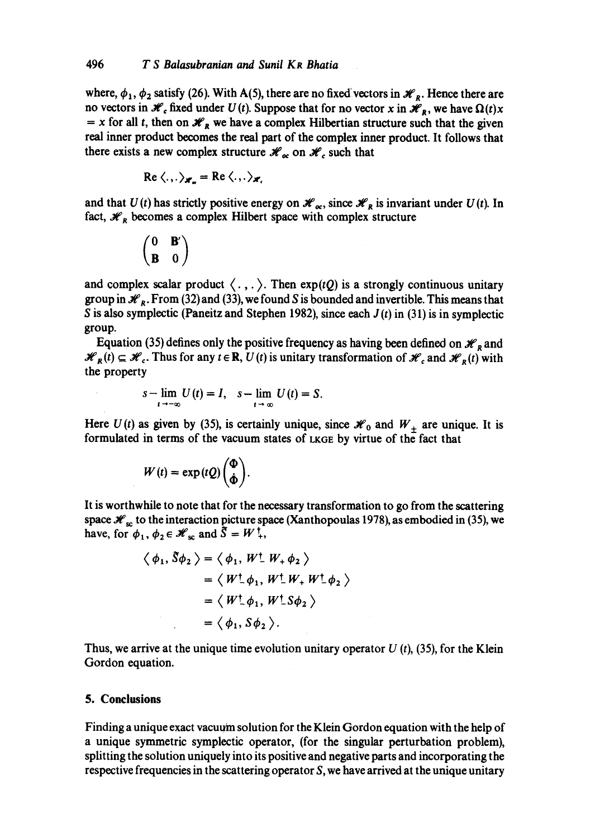where,  $\phi_1$ ,  $\phi_2$  satisfy (26). With A(5), there are no fixed vectors in  $\mathcal{H}_p$ . Hence there are no vectors in  $\mathcal{H}_c$  fixed under  $U(t)$ . Suppose that for no vector x in  $\mathcal{H}_R$ , we have  $\Omega(t)x$  $x = x$  for all *t*, then on  $\mathcal{H}_R$  we have a complex Hilbertian structure such that the given real inner product becomes the real part of the complex inner product. It follows that there exists a new complex structure  $\mathcal{H}_{oc}$  on  $\mathcal{H}_{c}$  such that

$$
\operatorname{Re}\langle.,.\rangle_{\mathscr{H}_n}=\operatorname{Re}\langle.,.\rangle_{\mathscr{H}_n}
$$

and that  $U(t)$  has strictly positive energy on  $\mathcal{H}_{\alpha}$ , since  $\mathcal{H}_R$  is invariant under  $U(t)$ . In fact,  $\mathcal{H}_R$  becomes a complex Hilbert space with complex structure

$$
\begin{pmatrix} 0 & \mathbf{B}' \\ \mathbf{B} & 0 \end{pmatrix}
$$

and complex scalar product  $\langle . , . \rangle$ . Then exp(tQ) is a strongly continuous unitary group in  $\mathcal{H}_R$ . From (32) and (33), we found S is bounded and invertible. This means that S is also symplectic (Paneitz and Stephen 1982), since each *J(t)* in (31) is in symplectic group.

Equation (35) defines only the positive frequency as having been defined on  $\mathcal{H}_R$  and  $\mathcal{H}_R(t) \subseteq \mathcal{H}_c$ . Thus for any  $t \in \mathbb{R}$ ,  $U(t)$  is unitary transformation of  $\mathcal{H}_c$  and  $\mathcal{H}_R(t)$  with the property

$$
s-\lim_{t\to-\infty}U(t)=I,\quad s-\lim_{t\to\infty}U(t)=S.
$$

Here  $U(t)$  as given by (35), is certainly unique, since  $\mathcal{H}_0$  and  $W_+$  are unique. It is formulated in terms of the vacuum states of LKGE by virtue of the fact that

$$
W(t) = \exp(tQ)\binom{\Phi}{\dot{\Phi}}.
$$

It is worthwhile to note that for the necessary transformation to go from the scattering space  $\mathcal{H}_{\rm sc}$  to the interaction picture space (Xanthopoulas 1978), as embodied in (35), we have, for  $\phi_1, \phi_2 \in \mathcal{H}_{\infty}$  and  $\tilde{S} = W^{\dagger}$ ,

$$
\langle \phi_1, \delta \phi_2 \rangle = \langle \phi_1, W^{\dagger} W_+ \phi_2 \rangle
$$
  
=  $\langle W^{\dagger} \phi_1, W^{\dagger} W_+ W^{\dagger} \phi_2 \rangle$   
=  $\langle W^{\dagger} \phi_1, W^{\dagger} S \phi_2 \rangle$   
=  $\langle \phi_1, S \phi_2 \rangle$ .

Thus, we arrive at the unique time evolution unitary operator  $U(t)$ , (35), for the Klein Gordon equation.

## **5. Conclusions**

Finding a unique exact vacuum solution for the Klein Gordon equation with the help of a unique symmetric symplectic operator, (for the singular perturbation problem), splitting the solution uniquely into its positive and negative parts and incorporating the respective frequencies in the scattering operator  $S$ , we have arrived at the unique unitary